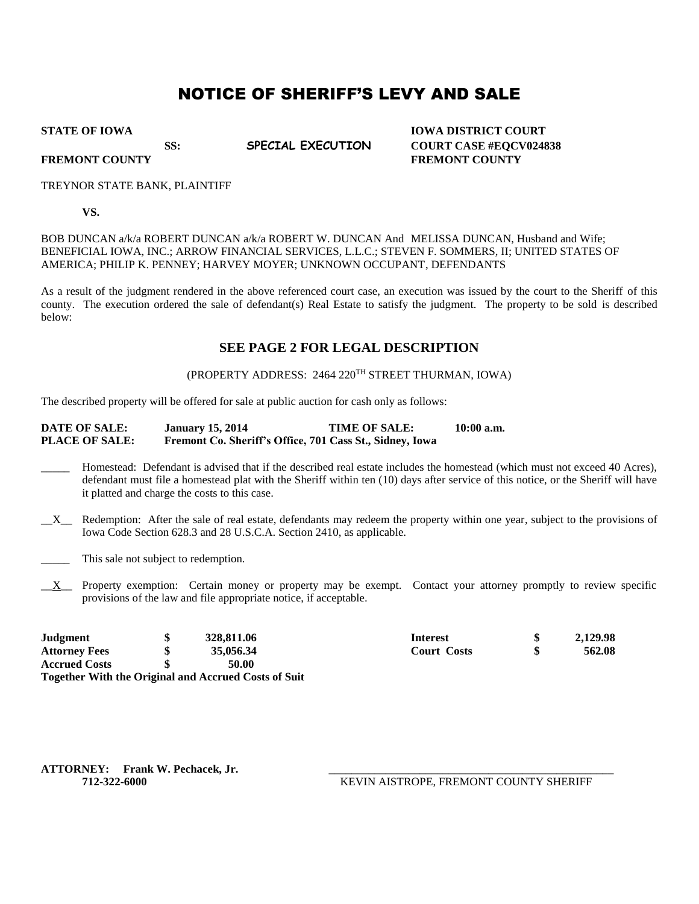# NOTICE OF SHERIFF'S LEVY AND SALE

**STATE OF IOWA IOWA DISTRICT COURT SS: SPECIAL EXECUTION COURT CASE #EQCV024838 FREMONT COUNTY FREMONT COUNTY**

#### TREYNOR STATE BANK, PLAINTIFF

**VS.**

BOB DUNCAN a/k/a ROBERT DUNCAN a/k/a ROBERT W. DUNCAN And MELISSA DUNCAN, Husband and Wife; BENEFICIAL IOWA, INC.; ARROW FINANCIAL SERVICES, L.L.C.; STEVEN F. SOMMERS, II; UNITED STATES OF AMERICA; PHILIP K. PENNEY; HARVEY MOYER; UNKNOWN OCCUPANT, DEFENDANTS

As a result of the judgment rendered in the above referenced court case, an execution was issued by the court to the Sheriff of this county. The execution ordered the sale of defendant(s) Real Estate to satisfy the judgment. The property to be sold is described below:

### **SEE PAGE 2 FOR LEGAL DESCRIPTION**

#### (PROPERTY ADDRESS: 2464 220TH STREET THURMAN, IOWA)

The described property will be offered for sale at public auction for cash only as follows:

#### **DATE OF SALE: January 15, 2014 TIME OF SALE: 10:00 a.m. PLACE OF SALE: Fremont Co. Sheriff's Office, 701 Cass St., Sidney, Iowa**

- \_\_\_\_\_ Homestead: Defendant is advised that if the described real estate includes the homestead (which must not exceed 40 Acres), defendant must file a homestead plat with the Sheriff within ten (10) days after service of this notice, or the Sheriff will have it platted and charge the costs to this case.
- \_\_X\_\_ Redemption: After the sale of real estate, defendants may redeem the property within one year, subject to the provisions of Iowa Code Section 628.3 and 28 U.S.C.A. Section 2410, as applicable.
- \_\_\_\_\_ This sale not subject to redemption.
- \_\_X\_\_ Property exemption: Certain money or property may be exempt. Contact your attorney promptly to review specific provisions of the law and file appropriate notice, if acceptable.

| Judgment             | 328,811.06                                                  | <b>Interest</b>    | 2,129.98 |
|----------------------|-------------------------------------------------------------|--------------------|----------|
| <b>Attorney Fees</b> | 35,056.34                                                   | <b>Court Costs</b> | 562.08   |
| <b>Accrued Costs</b> | 50.00                                                       |                    |          |
|                      | <b>Together With the Original and Accrued Costs of Suit</b> |                    |          |

ATTORNEY: Frank W. Pechacek, Jr.

**712-322-6000** KEVIN AISTROPE, FREMONT COUNTY SHERIFF